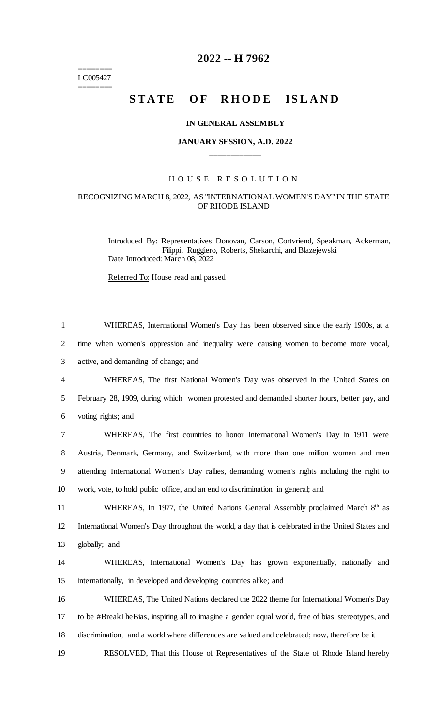$=$ LC005427 ========

## **2022 -- H 7962**

# **STATE OF RHODE ISLAND**

#### **IN GENERAL ASSEMBLY**

### **JANUARY SESSION, A.D. 2022 \_\_\_\_\_\_\_\_\_\_\_\_**

### H O U S E R E S O L U T I O N

#### RECOGNIZING MARCH 8, 2022, AS "INTERNATIONAL WOMEN'S DAY" IN THE STATE OF RHODE ISLAND

Introduced By: Representatives Donovan, Carson, Cortvriend, Speakman, Ackerman, Filippi, Ruggiero, Roberts, Shekarchi, and Blazejewski Date Introduced: March 08, 2022

Referred To: House read and passed

| $\mathbf{1}$   | WHEREAS, International Women's Day has been observed since the early 1900s, at a                   |
|----------------|----------------------------------------------------------------------------------------------------|
| $\overline{2}$ | time when women's oppression and inequality were causing women to become more vocal,               |
| 3              | active, and demanding of change; and                                                               |
| $\overline{4}$ | WHEREAS, The first National Women's Day was observed in the United States on                       |
| 5              | February 28, 1909, during which women protested and demanded shorter hours, better pay, and        |
| 6              | voting rights; and                                                                                 |
| 7              | WHEREAS, The first countries to honor International Women's Day in 1911 were                       |
| 8              | Austria, Denmark, Germany, and Switzerland, with more than one million women and men               |
| 9              | attending International Women's Day rallies, demanding women's rights including the right to       |
| 10             | work, vote, to hold public office, and an end to discrimination in general; and                    |
| 11             | WHEREAS, In 1977, the United Nations General Assembly proclaimed March 8th as                      |
| 12             | International Women's Day throughout the world, a day that is celebrated in the United States and  |
| 13             | globally; and                                                                                      |
| 14             | WHEREAS, International Women's Day has grown exponentially, nationally and                         |
| 15             | internationally, in developed and developing countries alike; and                                  |
| 16             | WHEREAS, The United Nations declared the 2022 theme for International Women's Day                  |
| 17             | to be #BreakTheBias, inspiring all to imagine a gender equal world, free of bias, stereotypes, and |
| 18             | discrimination, and a world where differences are valued and celebrated; now, therefore be it      |
|                |                                                                                                    |

19 RESOLVED, That this House of Representatives of the State of Rhode Island hereby